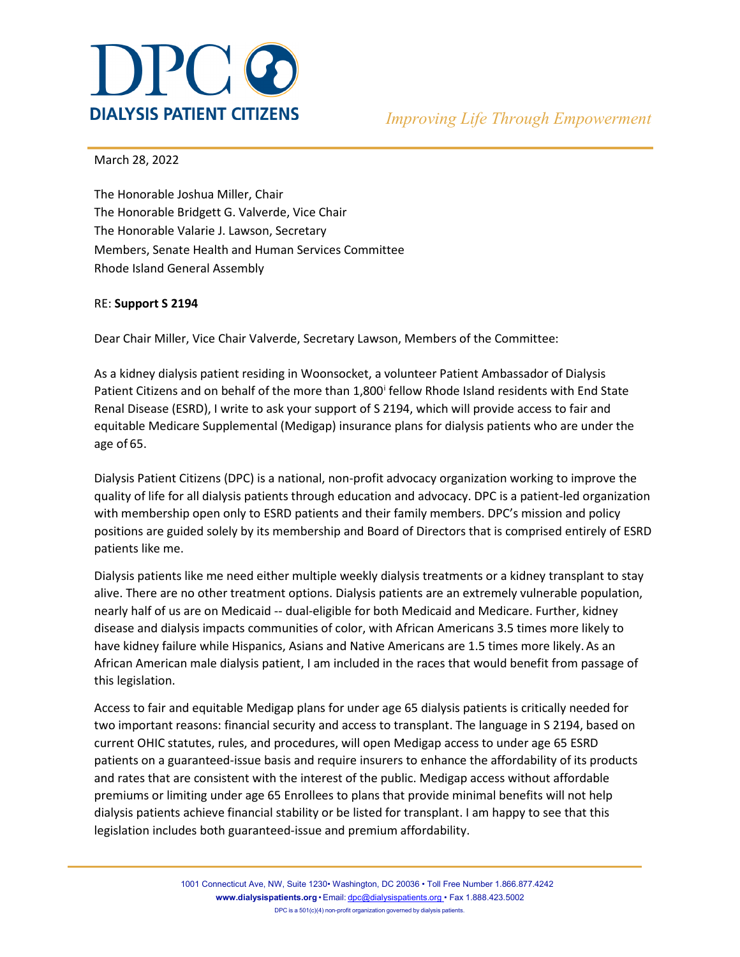

March 28, 2022

The Honorable Joshua Miller, Chair The Honorable Bridgett G. Valverde, Vice Chair The Honorable Valarie J. Lawson, Secretary Members, Senate Health and Human Services Committee Rhode Island General Assembly

## RE: **Support S 2194**

Dear Chair Miller, Vice Chair Valverde, Secretary Lawson, Members of the Committee:

As a kidney dialysis patient residing in Woonsocket, a volunteer Patient Ambassador of Dialysis Pat[i](#page-2-0)ent Citizens and on behalf of the more than 1,800<sup>i</sup> fellow Rhode Island residents with End State Renal Disease (ESRD), I write to ask your support of S 2194, which will provide access to fair and equitable Medicare Supplemental (Medigap) insurance plans for dialysis patients who are under the age of 65.

Dialysis Patient Citizens (DPC) is a national, non-profit advocacy organization working to improve the quality of life for all dialysis patients through education and advocacy. DPC is a patient-led organization with membership open only to ESRD patients and their family members. DPC's mission and policy positions are guided solely by its membership and Board of Directors that is comprised entirely of ESRD patients like me.

Dialysis patients like me need either multiple weekly dialysis treatments or a kidney transplant to stay alive. There are no other treatment options. Dialysis patients are an extremely vulnerable population, nearly half of us are on Medicaid -- dual-eligible for both Medicaid and Medicare. Further, kidney disease and dialysis impacts communities of color, with African Americans 3.5 times more likely to have kidney failure while Hispanics, Asians and Native Americans are 1.5 times more likely. As an African American male dialysis patient, I am included in the races that would benefit from passage of this legislation.

Access to fair and equitable Medigap plans for under age 65 dialysis patients is critically needed for two important reasons: financial security and access to transplant. The language in S 2194, based on current OHIC statutes, rules, and procedures, will open Medigap access to under age 65 ESRD patients on a guaranteed-issue basis and require insurers to enhance the affordability of its products and rates that are consistent with the interest of the public. Medigap access without affordable premiums or limiting under age 65 Enrollees to plans that provide minimal benefits will not help dialysis patients achieve financial stability or be listed for transplant. I am happy to see that this legislation includes both guaranteed-issue and premium affordability.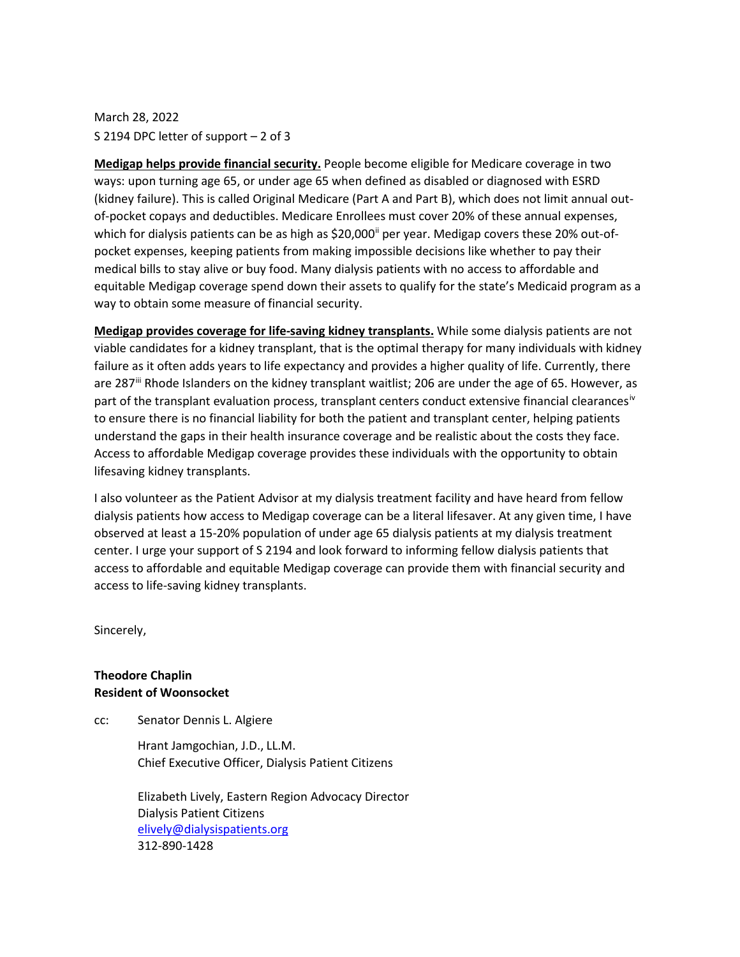## March 28, 2022 S 2194 DPC letter of support – 2 of 3

**Medigap helps provide financial security.** People become eligible for Medicare coverage in two ways: upon turning age 65, or under age 65 when defined as disabled or diagnosed with ESRD (kidney failure). This is called Original Medicare (Part A and Part B), which does not limit annual outof-pocket copays and deductibles. Medicare Enrollees must cover 20% of these annual expenses, which for dialysis patients can be as high as \$20,000<sup>[ii](#page-2-1)</sup> per year. Medigap covers these 20% out-ofpocket expenses, keeping patients from making impossible decisions like whether to pay their medical bills to stay alive or buy food. Many dialysis patients with no access to affordable and equitable Medigap coverage spend down their assets to qualify for the state's Medicaid program as a way to obtain some measure of financial security.

**Medigap provides coverage for life-saving kidney transplants.** While some dialysis patients are not viable candidates for a kidney transplant, that is the optimal therapy for many individuals with kidney failure as it often adds years to life expectancy and provides a higher quality of life. Currently, there are 287<sup>ii</sup> Rhode Islanders on the kidney transplant waitlist; 206 are under the age of 65. However, as part of the transplant evaluation process, transplant centers conduct extens[iv](#page-2-3)e financial clearances<sup>iv</sup> to ensure there is no financial liability for both the patient and transplant center, helping patients understand the gaps in their health insurance coverage and be realistic about the costs they face. Access to affordable Medigap coverage provides these individuals with the opportunity to obtain lifesaving kidney transplants.

I also volunteer as the Patient Advisor at my dialysis treatment facility and have heard from fellow dialysis patients how access to Medigap coverage can be a literal lifesaver. At any given time, I have observed at least a 15-20% population of under age 65 dialysis patients at my dialysis treatment center. I urge your support of S 2194 and look forward to informing fellow dialysis patients that access to affordable and equitable Medigap coverage can provide them with financial security and access to life-saving kidney transplants.

Sincerely,

## **Theodore Chaplin Resident of Woonsocket**

cc: Senator Dennis L. Algiere

Hrant Jamgochian, J.D., LL.M. Chief Executive Officer, Dialysis Patient Citizens

Elizabeth Lively, Eastern Region Advocacy Director Dialysis Patient Citizens [elively@dialysispatients.org](mailto:elively@dialysispatients.org) 312-890-1428